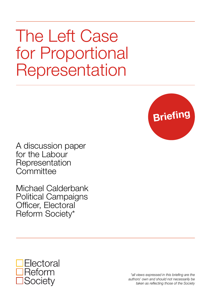The Left Case for Proportional Representation



A discussion paper for the Labour Representation **Committee** 

Michael Calderbank Political Campaigns Officer, Electoral Reform Society\*



*\*all views expressed in this briefing are the authors' own and should not necessarily be taken as reflecting those of the Society*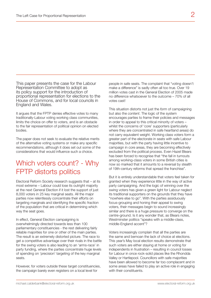This paper presents the case for the Labour Representation Committee to adopt as its policy support for the introduction of proportional representation for elections to the House of Commons, and for local councils in England and Wales.

It argues that the FPTP denies effective votes to many traditionally-Labour voting working class communities, limits the choice on offer to voters, and is an obstacle to the fair representation of political opinion on elected bodies.

The paper does not seek to evaluate the relative merits of the alternative voting systems or make any specific recommendations, although it does set out some of the considerations that would influence such a choice.

# Which voters count? - Why FPTP distorts politics

Electoral Reform Society research suggests that – at its most extreme – Labour could lose its outright majority at the next General Election if it lost the support of just 8,000 voters in 25 key marginal seats. All the major parties now relentlessly concentrate their efforts on targeting marginals and identifying the specific fraction of the population that are critical in determining which way the seat goes.

In effect, General Election campaigning is overwhelmingly directed towards less than 100 parliamentary constituencies - the rest delivering fairly reliable majorities for one or other of the main parties. The result is an extremely distorted picture. The race to get a competitive advantage over their rivals in the battle for the swing voters is also leading to an 'arms-race' in party funding, where the parties concentrate huge levels of spending on 'precision' targeting of the key marginal seats.

However, for voters outside these target constituencies, the campaign barely even registers on a local level for

people in safe seats. The complaint that "voting doesn't make a difference" is sadly often all too true. Over 19 million votes cast in the General Election of 2005 made no difference whatsoever to the outcome – 70% of all votes cast!

This situation distorts not just the *form* of campaigning but also the *content*. The logic of the system encourages parties to frame their policies and messages in order to appeal to this critical minority of voters – whilst the concerns of 'core' supporters (particularly where they are concentrated in safe heartland areas) do not carry equivalent weight. Working class voters form a greater part of the electorate in seats with safe Labour majorities, but with the party having little incentive to campaign in core areas, they are becoming effectively excluded from the political process. Even Hazel Blears has been forced to recognise that "the fall in turnouts among working-class voters in some British cities is now so marked that it amounts to a reversal by stealth of 19th-century reforms that spread the franchise".

But it is entirely understandable that voters feel taken for granted when they experience little in the way of active party campaigning. And the logic of winning over the swing voters has given a green light for Labour neglect its traditional supporters on the grounds that they have "nowhere else to go". With the parties assiduously focus-grouping and honing their appeal to swing voters, their messages begin to sound increasingly similar and there is a huge pressure to converge on the centre-ground. Is it any wonder that, as Blears notes, Westminster politics "speaks with a middle-class, middle-England accent"?

Voters increasingly complain that all the parties are the same and bemoan the lack of choice at elections. This year's May local election results demonstrate that such voters are either staying at home or voting for independents in frustration – resulting in council losses for Labour in once rock-solid places like the Rhondda Valley or Hartlepool. Councillors with safe majorities have been allowed to become far too complacent and in some areas have failed to play an active role in engaging with their constituents.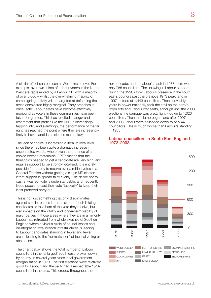A similar effect can be seen at Westminster level. For example, over two-thirds of Labour voters in the North West are represented by a Labour MP with a majority of over 5,000 – whilst the overwhelming majority of campaigning activity will be targeted at defending the areas considered highly marginal. Party branches in once 'safe' Labour areas have become effectively moribund as voters in these communities have been taken for granted. This has resulted in anger and resentment that parties like the BNP is increasingly tapping into, and alarmingly, the performance of the far right has reached the point where they are increasingly likely to have candidates elected (see below).

The lack of choice is increasingly literal at local level since there has been quite a dramatic increase in uncontested wards, where even the pretence of a choice doesn't materialise. FPTP means that the thresholds needed to get a candidate are very high, and requires support to be strongly localised. It is entirely possible for a party to receive over a million votes in a General Election without getting a single MP elected if that support is spread fairly evenly. The desire not to cast a 'wasted' vote is understandable, and frequently leads people to cast their vote 'tactically' to keep their least preferred party out.

This is not just something that only discriminates against smaller parties in terms either of their fielding candidates or the share of the vote they receive, but also impacts on the vitality and longer-term viability of major parties in those areas where they are in a minority. Labour has retreated from whole swathes of Southern England where a vicious circle of council losses and disintegrating local branch infrastructures is leading to Labour candidates standing in fewer and fewer areas, leading to the 'normalisation' of tactical voting or abstention.

The chart below shows the total number of Labour councillors in the 'enlarged' south east, broken down by county, in several years since local government reorganisation in 1973. The first elections were relatively good for Labour, and the party had a respectable 1,287 councillors in the area. This eroded throughout the

next decade, and at Labour's nadir in 1983 there were only 785 councillors. The upswing in Labour support during the 1990s took Labour's presence in the south east's councils past the previous 1973 peak, and in 1997 it stood at 1,443 councillors. Then, inevitably, years in power nationally took their toll on the party's popularity and Labour lost seats, although until the 2003 elections the damage was pretty light – down to 1,020 councillors. Then the slump began, and after 2007 and 2008 Labour were collapsed down to only 441 councillors. This is much worse than Labour's standing in 1983.

### Labour councillors in South East England 1973-2008



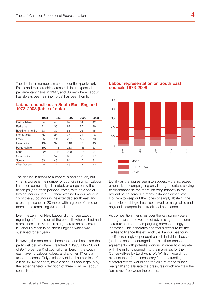The decline in numbers in some counties (particularly Essex and Hertfordshire, areas rich in unexpected parliamentary gains in 1997, and Surrey where Labour has always been a minor force) has been horrific.

### Labour councillors in South East England 1973-2008 (table of data)

|                     | 1973 | 1983 | 1997 | 2002 | 2008 |
|---------------------|------|------|------|------|------|
| <b>Bedfordshire</b> | 74   | 43   | 92   | 64   | 42   |
| <b>Berkshire</b>    | 71   | 35   | 87   | 75   | 46   |
| Buckinghamshire     | 63   | 30   | 51   | 26   | 15   |
| East Sussex         | 65   | 36   | 76   | 71   | 26   |
| Essex               | 255  | 142  | 277  | 187  | 70   |
| Hampshire           | 137  | 97   | 116  | 82   | 40   |
| Hertfordshire       | 192  | 143  | 213  | 145  | 63   |
| Kent                | 226  | 132  | 299  | 224  | 94   |
| Oxfordshire         | 71   | 57   | 96   | 50   | 27   |
| Surrey              | 83   | 48   | 84   | 47   | 3    |
| <b>West Sussex</b>  | 40   | 22   | 49   | 44   | 13   |

The decline in absolute numbers is bad enough, but what is worse is the number of councils in which Labour has been completely eliminated, or clings on by the fingertips (and often personal votes) with only one or two councillors. In 1983, there was no Labour voice in 15 of the 95 councils in the extended south east and a token presence in 20 more, with a group of three or more in the remaining 60 councils.

Even the zenith of New Labour did not see Labour regaining a foothold on all the councils where it had had a presence in 1973, but it did generate an expansion in Labour's reach in southern England which was sustained for six years.

However, the decline has been rapid and has taken the party well below where it reached in 1983. Now 38 out of 95 (40 per cent) of council chambers in the south east have no Labour voices, and another 17 only a token presence. Only a minority of local authorities (40 out of 95, 42 per cent) have a serious Labour group by the rather generous definition of three or more Labour councillors.

### Labour representation on South East councils 1973-2008



But if - as the figures seem to suggest – the increased emphasis on campaigning only in target seats is serving to disenfranchise the more left-wing minority in the affluent south (forced in many instances either vote Lib Dem to keep out the Tories or simply abstain), the same electoral logic has also served to marginalise and neglect its support in its traditional heartlands.

As competition intensifies over the key swing voters in target seats, the volume of advertising, promotional literature and other campaigning correspondingly increases. This generates enormous pressure for the parties to finance this expenditure. Labour has found itself increasingly dependent on rich individual backers (and has been encouraged into less than transparent agreements with potential donors) in order to compete with the millions poured into the marginals for the Conservaitves by Lord Ashcroft. Whilst it would not exhaust the reforms necessary for party funding, electoral reform would end the culture of the 'supermarginal' and alleviate the pressures which maintain the "arms race" between the parties.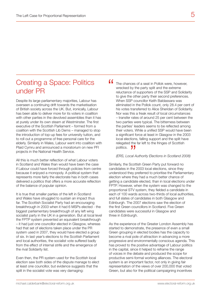# Creating a Space: Politics under PR

Despite its large parliamentary majorities, Labour has overseen a continuing drift towards the marketisation of British society across the UK. But, ironically, Labour has been able to deliver more for its voters in coalition with other parties in the devolved assemblies than it has at purely under its own steam at Westminster. The first executive of the Scottish Parliament – formed from a coalition with the Scottish Lib Dems – managed to stop the introduction of top-up fees for university tuition, and to roll out a programme of free personal care for the elderly. Similarly in Wales, Labour went into coalition with Plaid Cymru and announced a moratorium on new PFI projects in the National Health Service.

All this is much better reflection of what Labour voters in Scotland and Wales than would have been the case if Labour could have forced through policies from centre because it enjoyed a monopoly. A political system that represents more fairly the electorate has in both cases delivered a politics that offers a more accurate reflection of the balance of popular opinion.

It is true that smaller parties of the left in Scotland and Wales have struggled to sustain an impact thus far. The Scottish Socialist Party had an encouraging breakthrough in 2003 when it had 6 MSPs elected - the biggest parliamentary breakthrough of any left wing socialist party in the UK in a generation. But at local level the FPTP system prevented an equivalent breakthrough – it had just one councillor elected in Glasgow, whereas had that set of elections taken place under the PR system used in 2007, they would have elected a group of six. In last year's elections to the Scottish Parliament and local authorities, the socialist vote suffered badly from the effect of internal strife and the emergence of the rival Solidarity list.

Even then, the PR system used for the Scottish local election saw both sides of the dispute manage to elect at least one councillor, but evidence suggests that the split in the socialist vote was very damaging:

The chances of a seat in Pollok were, however, wrecked by the party split and the extreme reluctance of supporters of the SSP and Solidarity to give the other party their second preferences. When SSP councillor Keith Baldassara was eliminated in the Pollok count, only 28.4 per cent of his votes transferred to Alice Sheridan of Solidarity. Nor was this a freak result of local circumstances – transfer rates of around 25 per cent between the two parties were typical. The bitterness between the parties' leaders seems to be reflected among their voters. While a unified SSP would have been a significant force at least in Glasgow in the 2003 local elections, falling support and the split have relegated the far left to the fringes of Scottish politics.<br> **FRS**, Local A "

#### *(ERS, Local Authority Elections in Scotland 2008)*

Similarly, the Scottish Green Party put forward no candidates in the 2003 local elections, since they understood they preferred to prioritise the Parliamentary election where they had a much better chance of getting a candidate elected, than in local elections under FPTP. However, when the system was changed to the proportional STV system, they fielded a candidate in each of 100 wards across two-thirds of local authorities, and full slates of candidates in both Glasgow and Edinburgh. The 2007 elections saw the election of the first Green councillors in Scotland. Five Green candidates were successful in Glasgow and three in Edinburgh.

As the experience of the Greater London Assembly has started to demonstrate, the presence of even a small Green grouping in elected bodies has the capacity to become a rival pole of attraction in advancing a more progressive and environmentally conscious agenda. This has proved to the positive advantage of Labour politics in the capital, since it helped to reframe the range of voices in the debate and produced the scope for productive semi-formal working alliances. The electoral system is an important factor, not only in giving fair representation of the views of over 200,000 that voted Green, but also for the political campaigning incentives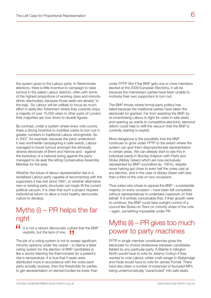the system gives to the Labour party. In Westminster elections, there is little incentive to campaign to raise turnout in the safest Labour districts, often with some of the highest proportions of working class and minority ethnic electorates, because those seats are already 'in the bag'. So Labour will be unlikely to focus as much effort in seats like Tottenham where they currently enjoy a majority of over 10,000 when in other parts of London their majorities are now down to double figures.

By contrast, under a system where every vote counts, there a strong incentive to mobilise voters to turn out in greater numbers in traditional Labour strongholds. So in 2007, for example, because the party understood it was worthwhile campaigning in safe wards, Labour managed to boost turnout amongst the ethnically diverse electorate of Brent and Harrow and - against the backdrop of a national swing against the party managed to de-seat the sitting Conservative Assembly Member for the area.

Whether the future of labour representation lies in a revitalised Labour party capable of reconnecting with the supporters it has lost since 1997, or whether alternative new or existing party structures can begin fill the current political vacuum, it is clear that such a project requires institutional reform to allow a more healthy democratic culture to develop.

## Myths (i) – PR helps the far right

It is not a vibrant democratic culture that the BNP "

exploits, but the lack of one.<br>
job of a voting system is not to switch The job of a voting system is not to sweep significant minority opinions under the carpet – to blame a fairer voting system for the election of BNP candidates is like a doctor blaming the thermometer for a patient's rise in temperature. It is true that if seats were distributed more in accordance with the votes each party actually receives, then the thresholds for parties to get representation on elected bodies be lower than under FPTP. But if the BNP gets one or more members elected at the 2009 European Elections, it will be because the mainstream parties have been unable to motivate their own supporters to turn out.

The BNP thrives where formal party politics has failed because the traditional parties have taken the electorate for granted. Far from assisting the BNP, by re-incentivising Labour to fight for votes in safe seats and opening up wards to competitive elections, electoral reform could help to refill the vacuum that the BNP is currently starting to exploit.

More dangerous is the possibility that the BNP continues to grow under FPTP to the extent where the system can give them disproportionate representation in certain areas. We can already start to see this in individual wards in Burnley (Hapton-with-Park) and Stoke (Abbey Green) which are now exclusively represented by BNP councillors (ie. 100%), despite never halving got close to even half the votes cast at any election, and in the case of Abbey Green with less than a third of the vote on two occasions.

Thus voters who chose to oppose the BNP – a substantial majority on every occasion – have been left completely without representatives to undertake casework on their behalf. It is entirely conceivable that, if their growth were to continue, the BNP could take outright control of a council like Stoke-on-Trent on minority share of the vote – again, something impossible under PR.

## Myths (ii) – PR gives too much power to party machines

FPTP in single member constituencies gives the electorate no choice whatsoever between candidates fielded by any particular party. A Blairite in Islington North would have to vote for Jeremy Corbyn if they wanted to vote Labour, whilst a left-winger in Stalybridge and Hyde would have to vote for James Purnell. There have also been a number of instances of favoured MPs being undemocratically "parachuted" into safe seats.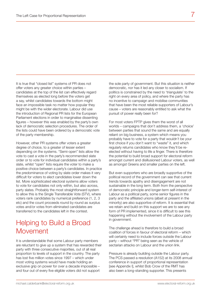It is true that "closed list" systems of PR does not offer voters any greater choice within parties – candidates at the top of the list can effectively regard themselves as elected long before the voters get a say, whilst candidates towards the bottom might face an impossible task no matter how popular they might be with the wider electorate. Labour did use the introduction of Regional PR lists for the European Parliament elections in order to marginalise dissenting figures – however this was enabled by the party's own lack of democratic selection procedures. The order of the lists could have been ordered by a democratic vote of the party membership.

However, other PR systems offer voters a greater degree of choice, to a greater of lesser extent depending on the systems. "Semi-open" lists allow the vote to cast a vote in the party's recommended slate order or to vote for individual candidates within a party's slate, whilst "open" lists require the voter to make a positive choice between a party's candidates. In practice the predominance of voting by slate order makes it very difficult for voters to elect candidates lower down the list. More sophisticated electoral systems allow voters to vote for candidates not only within, but also across, party slates. Probably the most straightforward system to allow this is the Single Transferable Vote (STV), where voters rank candidates by numerical preference (1, 2, 3 etc) and the count proceeds round by round as surplus votes and/or votes from eliminated candidates are transferred to the candidates left in the contest.

## Helping to Build a Broad Movement

It is understandable that some Labour party members are reluctant to give up a system that has rewarded their party with three consecutive majorities, out of all real proportion to levels of support in the country. The party has lost five million votes since 1997 – which under most voting systems would have made holding an exclusive grip on power for over a decade impossible – and four out of every five eligible voters did not support

the sole party of government. But this situation is neither democratic, nor has it led any closer to socialism. If politics is constrained by the need to 'triangulate' to the right on every area of policy, and where the party has no incentive to campaign and mobilise communities that have been the most reliable supporters of Labour's cause – voters are reasonably entitled to ask what the pursuit of power really been for?

For most voters FPTP gives them the worst of all worlds – campaigns that don't address them, a 'choice' between parties that sound the same and are equally reliant on big business, a system which means you probably have to vote for a party that wouldn't be your first choice if you don't want to "waste" it, and which regularly returns candidates who know they'll be reelected without having to life a finger. There is therefore the potential to build broad support for electoral reform amongst current and disillusioned Labour voters, as well as amongst Greens and smaller parties on the left.

But even supporters who are broadly supportive of the political record of the government can see that current trends towards apathy and disengagement are not sustainable in the long term. Both from the perspective of democratic principle and longer-term self-interest of Labour as a political party, some senior figures in the party and the affiliated unions (albeit at present in the minority) are also supportive of reform. It is essential that we retain and build on this support we are to see any form of PR implemented, since it is difficult to see this happening without the involvement of the Labour party in government.

The challenge ahead is therefore to build a broad coalition of forces in favour of electoral reform – which will certainly need to include forces outside the Labour party – without "PR" being seen as the vehicle of sectarian attacks on Labour and the union link.

Pressure is already building outside the Labour party. The PCS passed a resolution (A152) at its 2008 annual conference in support of proportional representation [see Appendix I], whilst Bob Crow of the RMT has also been a long-standing supporter. This presents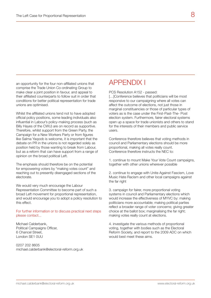an opportunity for the four non-affiliated unions that comprise the Trade Union Co-ordinating Group to make clear a joint position in favour, and appeal to their affiliated counterparts to follow suit in order that conditions for better political representation for trade unions are optimised.

Whilst the affiliated unions tend not to have adopted official policy positions, some leading individuals also influential in Labour's policy-making process (such as Billy Hayes of the CWU) are on record as supportive. Therefore, whilst support from the Green Party, the Campaign for a New Workers Party or from figures like Salma Yaqoob is welcome, it is important that the debate on PR in the unions is not regarded solely as position held by those wanting to break from Labour, but as a reform that can have support from a range of opinion on the broad political Left.

The emphasis should therefore be on the potential for empowering voters by "making votes count" and reaching out to presently disengaged sections of the electorate.

We would very much encourage the Labour Representation Committee to become part of such a broad Left movement for proportional representation, and would encourage you to adopt a policy resolution to this effect.

For further information or to discuss practical next steps please contact...

Michael Calderbank, Political Campaigns Officer, 6 Chancel Street, London SE1 OUU

0207 202 8605 michael.calderbank@electoral-reform.org.uk

### APPENDIX I

PCS Resolution A152 - passed:

[...]Conference believes that politicians will be most responsive to our campaigning where all votes can affect the outcome of elections, not just those in marginal constituencies or those of particular types of voters as is the case under the First-Past-The- Post election system. Furthermore, fairer electoral systems open up a space for trade unionists and others to stand for the interests of their members and public service users.

Conference therefore believes that voting methods in council and Parliamentary elections should be more proportional, making all votes really count. Conference therefore instructs the NEC to:

1. continue to mount Make Your Vote Count campaigns, together with other unions wherever possible

2. continue to engage with Unite Against Fascism, Love Music Hate Racism and other local campaigns against the far right

3. campaign for fairer, more proportional voting systems in council and Parliamentary elections which would increase the effectiveness of MYVC by: making politicians more accountable; making political parties reflect a broader range of voter concerns; giving greater choice at the ballot box; marginalising the far right; making votes really count at elections.

4. investigate the various methods of proportional voting, together with bodies such as the Electoral Reform Society, and report to the 2009 ADC on which would best meet these aims.